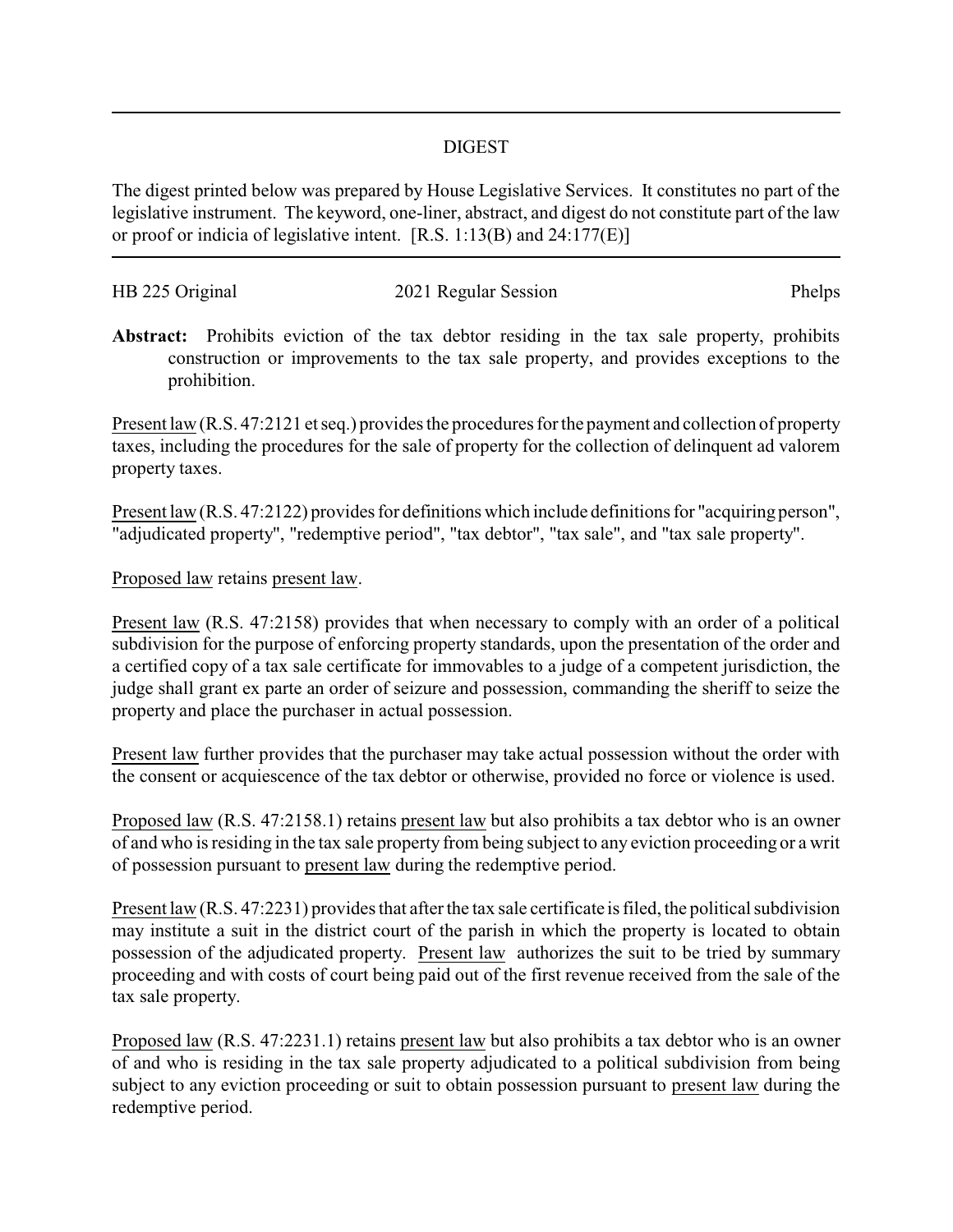## DIGEST

The digest printed below was prepared by House Legislative Services. It constitutes no part of the legislative instrument. The keyword, one-liner, abstract, and digest do not constitute part of the law or proof or indicia of legislative intent. [R.S. 1:13(B) and 24:177(E)]

| HB 225 Original | 2021 Regular Session | Phelps |
|-----------------|----------------------|--------|
|                 |                      |        |

**Abstract:** Prohibits eviction of the tax debtor residing in the tax sale property, prohibits construction or improvements to the tax sale property, and provides exceptions to the prohibition.

Present law (R.S. 47:2121 et seq.) provides the procedures for the payment and collection of property taxes, including the procedures for the sale of property for the collection of delinquent ad valorem property taxes.

Present law (R.S. 47:2122) provides for definitions which include definitions for "acquiring person", "adjudicated property", "redemptive period", "tax debtor", "tax sale", and "tax sale property".

## Proposed law retains present law.

Present law (R.S. 47:2158) provides that when necessary to comply with an order of a political subdivision for the purpose of enforcing property standards, upon the presentation of the order and a certified copy of a tax sale certificate for immovables to a judge of a competent jurisdiction, the judge shall grant ex parte an order of seizure and possession, commanding the sheriff to seize the property and place the purchaser in actual possession.

Present law further provides that the purchaser may take actual possession without the order with the consent or acquiescence of the tax debtor or otherwise, provided no force or violence is used.

Proposed law (R.S. 47:2158.1) retains present law but also prohibits a tax debtor who is an owner of and who is residing in the tax sale property from being subject to any eviction proceeding or a writ of possession pursuant to present law during the redemptive period.

Present law (R.S. 47:2231) provides that after the tax sale certificate is filed, the political subdivision may institute a suit in the district court of the parish in which the property is located to obtain possession of the adjudicated property. Present law authorizes the suit to be tried by summary proceeding and with costs of court being paid out of the first revenue received from the sale of the tax sale property.

Proposed law (R.S. 47:2231.1) retains present law but also prohibits a tax debtor who is an owner of and who is residing in the tax sale property adjudicated to a political subdivision from being subject to any eviction proceeding or suit to obtain possession pursuant to present law during the redemptive period.